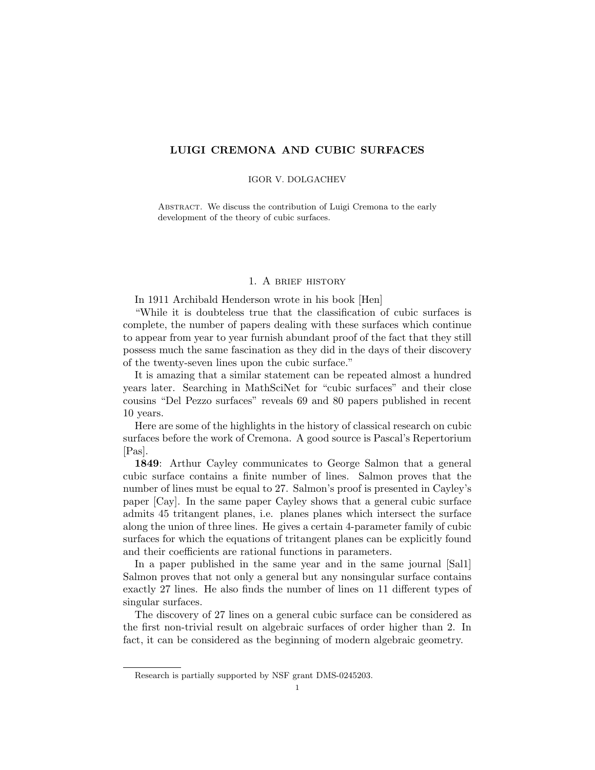# LUIGI CREMONA AND CUBIC SURFACES

#### IGOR V. DOLGACHEV

ABSTRACT. We discuss the contribution of Luigi Cremona to the early development of the theory of cubic surfaces.

### 1. A brief history

In 1911 Archibald Henderson wrote in his book [Hen]

"While it is doubteless true that the classification of cubic surfaces is complete, the number of papers dealing with these surfaces which continue to appear from year to year furnish abundant proof of the fact that they still possess much the same fascination as they did in the days of their discovery of the twenty-seven lines upon the cubic surface."

It is amazing that a similar statement can be repeated almost a hundred years later. Searching in MathSciNet for "cubic surfaces" and their close cousins "Del Pezzo surfaces" reveals 69 and 80 papers published in recent 10 years.

Here are some of the highlights in the history of classical research on cubic surfaces before the work of Cremona. A good source is Pascal's Repertorium  $|Pas|$ .

1849: Arthur Cayley communicates to George Salmon that a general cubic surface contains a finite number of lines. Salmon proves that the number of lines must be equal to 27. Salmon's proof is presented in Cayley's paper [Cay]. In the same paper Cayley shows that a general cubic surface admits 45 tritangent planes, i.e. planes planes which intersect the surface along the union of three lines. He gives a certain 4-parameter family of cubic surfaces for which the equations of tritangent planes can be explicitly found and their coefficients are rational functions in parameters.

In a paper published in the same year and in the same journal [Sal1] Salmon proves that not only a general but any nonsingular surface contains exactly 27 lines. He also finds the number of lines on 11 different types of singular surfaces.

The discovery of 27 lines on a general cubic surface can be considered as the first non-trivial result on algebraic surfaces of order higher than 2. In fact, it can be considered as the beginning of modern algebraic geometry.

Research is partially supported by NSF grant DMS-0245203.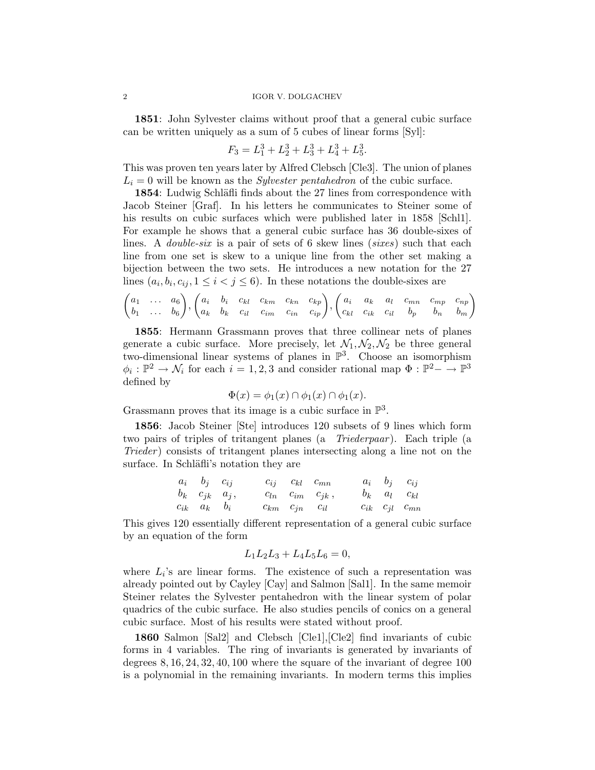1851: John Sylvester claims without proof that a general cubic surface can be written uniquely as a sum of 5 cubes of linear forms [Syl]:

$$
F_3 = L_1^3 + L_2^3 + L_3^3 + L_4^3 + L_5^3.
$$

This was proven ten years later by Alfred Clebsch [Cle3]. The union of planes  $L<sub>i</sub> = 0$  will be known as the *Sylvester pentahedron* of the cubic surface.

1854: Ludwig Schläfli finds about the 27 lines from correspondence with Jacob Steiner [Graf]. In his letters he communicates to Steiner some of his results on cubic surfaces which were published later in 1858 [Schl1]. For example he shows that a general cubic surface has 36 double-sixes of lines. A *double-six* is a pair of sets of 6 skew lines *(sixes)* such that each line from one set is skew to a unique line from the other set making a bijection between the two sets. He introduces a new notation for the 27 lines  $(a_i, b_i, c_{ij}, 1 \leq i < j \leq 6)$ . In these notations the double-sixes are

$$
\begin{pmatrix} a_1 & \dots & a_6 \\ b_1 & \dots & b_6 \end{pmatrix}, \begin{pmatrix} a_i & b_i & c_{kl} & c_{km} & c_{kn} & c_{kp} \\ a_k & b_k & c_{il} & c_{im} & c_{in} & c_{ip} \end{pmatrix}, \begin{pmatrix} a_i & a_k & a_l & c_{mn} & c_{mp} & c_{np} \\ c_{kl} & c_{ik} & c_{il} & b_p & b_n & b_m \end{pmatrix}
$$

1855: Hermann Grassmann proves that three collinear nets of planes generate a cubic surface. More precisely, let  $\mathcal{N}_1, \mathcal{N}_2, \mathcal{N}_2$  be three general two-dimensional linear systems of planes in  $\mathbb{P}^3$ . Choose an isomorphism  $\phi_i: \mathbb{P}^2 \to \mathcal{N}_i$  for each  $i = 1, 2, 3$  and consider rational map  $\Phi: \mathbb{P}^2 \to \mathbb{P}^3$ defined by

$$
\Phi(x) = \phi_1(x) \cap \phi_1(x) \cap \phi_1(x).
$$

Grassmann proves that its image is a cubic surface in  $\mathbb{P}^3$ .

1856: Jacob Steiner [Ste] introduces 120 subsets of 9 lines which form two pairs of triples of tritangent planes (a *Triederpaar*). Each triple (a Trieder) consists of tritangent planes intersecting along a line not on the surface. In Schläfli's notation they are

| $a_i$ $b_j$ $c_{ij}$   |  | $c_{ij}$ $c_{kl}$ $c_{mn}$ |                              |  | $a_i$ $b_j$ $c_{ij}$         |
|------------------------|--|----------------------------|------------------------------|--|------------------------------|
| $b_k$ $c_{jk}$ $a_j$ , |  |                            | $c_{ln}$ $c_{im}$ $c_{jk}$ , |  | $b_k \quad a_l \quad c_{kl}$ |
| $c_{ik}$ $a_k$ $b_i$   |  | $c_{km}$ $c_{jn}$ $c_{il}$ |                              |  | $c_{ik}$ $c_{jl}$ $c_{mn}$   |

This gives 120 essentially different representation of a general cubic surface by an equation of the form

$$
L_1L_2L_3 + L_4L_5L_6 = 0,
$$

where  $L_i$ 's are linear forms. The existence of such a representation was already pointed out by Cayley [Cay] and Salmon [Sal1]. In the same memoir Steiner relates the Sylvester pentahedron with the linear system of polar quadrics of the cubic surface. He also studies pencils of conics on a general cubic surface. Most of his results were stated without proof.

1860 Salmon [Sal2] and Clebsch [Cle1],[Cle2] find invariants of cubic forms in 4 variables. The ring of invariants is generated by invariants of degrees 8, 16, 24, 32, 40, 100 where the square of the invariant of degree 100 is a polynomial in the remaining invariants. In modern terms this implies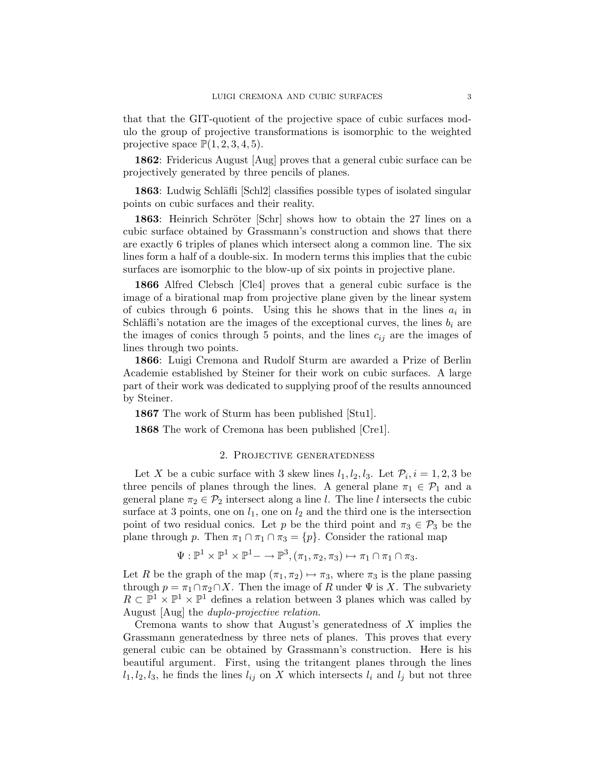that that the GIT-quotient of the projective space of cubic surfaces modulo the group of projective transformations is isomorphic to the weighted projective space  $\mathbb{P}(1, 2, 3, 4, 5)$ .

1862: Fridericus August [Aug] proves that a general cubic surface can be projectively generated by three pencils of planes.

1863: Ludwig Schläfli [Schl2] classifies possible types of isolated singular points on cubic surfaces and their reality.

1863: Heinrich Schröter [Schr] shows how to obtain the 27 lines on a cubic surface obtained by Grassmann's construction and shows that there are exactly 6 triples of planes which intersect along a common line. The six lines form a half of a double-six. In modern terms this implies that the cubic surfaces are isomorphic to the blow-up of six points in projective plane.

1866 Alfred Clebsch [Cle4] proves that a general cubic surface is the image of a birational map from projective plane given by the linear system of cubics through 6 points. Using this he shows that in the lines  $a_i$  in Schläfli's notation are the images of the exceptional curves, the lines  $b_i$  are the images of conics through 5 points, and the lines  $c_{ij}$  are the images of lines through two points.

1866: Luigi Cremona and Rudolf Sturm are awarded a Prize of Berlin Academie established by Steiner for their work on cubic surfaces. A large part of their work was dedicated to supplying proof of the results announced by Steiner.

1867 The work of Sturm has been published [Stu1].

1868 The work of Cremona has been published [Cre1].

### 2. Projective generatedness

Let X be a cubic surface with 3 skew lines  $l_1, l_2, l_3$ . Let  $\mathcal{P}_i$ ,  $i = 1, 2, 3$  be three pencils of planes through the lines. A general plane  $\pi_1 \in \mathcal{P}_1$  and a general plane  $\pi_2 \in \mathcal{P}_2$  intersect along a line l. The line l intersects the cubic surface at 3 points, one on  $l_1$ , one on  $l_2$  and the third one is the intersection point of two residual conics. Let p be the third point and  $\pi_3 \in \mathcal{P}_3$  be the plane through p. Then  $\pi_1 \cap \pi_1 \cap \pi_3 = \{p\}$ . Consider the rational map

$$
\Psi: \mathbb{P}^1 \times \mathbb{P}^1 \times \mathbb{P}^1 \longrightarrow \mathbb{P}^3, (\pi_1, \pi_2, \pi_3) \mapsto \pi_1 \cap \pi_1 \cap \pi_3.
$$

Let R be the graph of the map  $(\pi_1, \pi_2) \mapsto \pi_3$ , where  $\pi_3$  is the plane passing through  $p = \pi_1 \cap \pi_2 \cap X$ . Then the image of R under  $\Psi$  is X. The subvariety  $R \subset \mathbb{P}^1 \times \mathbb{P}^1 \times \mathbb{P}^1$  defines a relation between 3 planes which was called by August [Aug] the duplo-projective relation.

Cremona wants to show that August's generatedness of  $X$  implies the Grassmann generatedness by three nets of planes. This proves that every general cubic can be obtained by Grassmann's construction. Here is his beautiful argument. First, using the tritangent planes through the lines  $l_1, l_2, l_3$ , he finds the lines  $l_{ij}$  on X which intersects  $l_i$  and  $l_j$  but not three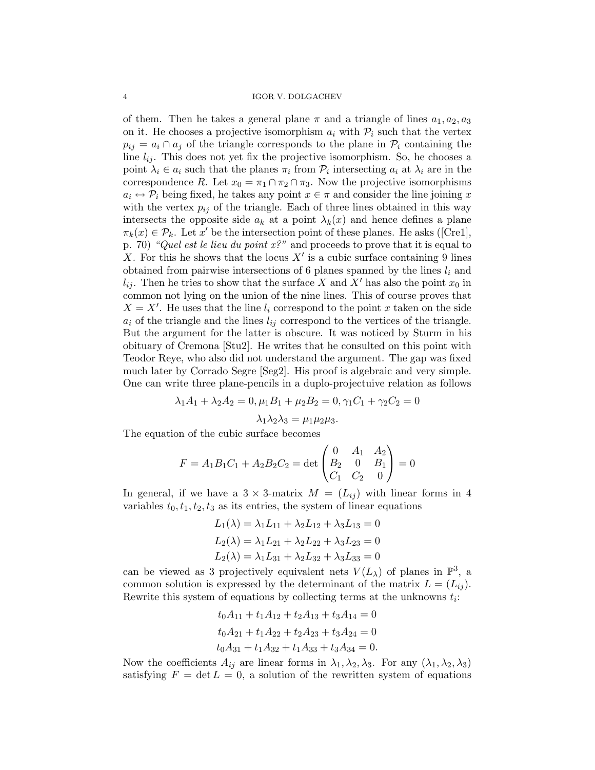of them. Then he takes a general plane  $\pi$  and a triangle of lines  $a_1, a_2, a_3$ on it. He chooses a projective isomorphism  $a_i$  with  $\mathcal{P}_i$  such that the vertex  $p_{ij} = a_i \cap a_j$  of the triangle corresponds to the plane in  $\mathcal{P}_i$  containing the line  $l_{ij}$ . This does not yet fix the projective isomorphism. So, he chooses a point  $\lambda_i \in a_i$  such that the planes  $\pi_i$  from  $\mathcal{P}_i$  intersecting  $a_i$  at  $\lambda_i$  are in the correspondence R. Let  $x_0 = \pi_1 \cap \pi_2 \cap \pi_3$ . Now the projective isomorphisms  $a_i \leftrightarrow \mathcal{P}_i$  being fixed, he takes any point  $x \in \pi$  and consider the line joining x with the vertex  $p_{ij}$  of the triangle. Each of three lines obtained in this way intersects the opposite side  $a_k$  at a point  $\lambda_k(x)$  and hence defines a plane  $\pi_k(x) \in \mathcal{P}_k$ . Let x' be the intersection point of these planes. He asks ([Cre1], p. 70) "Quel est le lieu du point  $x$ ?" and proceeds to prove that it is equal to X. For this he shows that the locus  $X'$  is a cubic surface containing 9 lines obtained from pairwise intersections of 6 planes spanned by the lines  $l_i$  and  $l_{ij}$ . Then he tries to show that the surface X and X' has also the point  $x_0$  in common not lying on the union of the nine lines. This of course proves that  $X = X'$ . He uses that the line  $l_i$  correspond to the point x taken on the side  $a_i$  of the triangle and the lines  $l_{ij}$  correspond to the vertices of the triangle. But the argument for the latter is obscure. It was noticed by Sturm in his obituary of Cremona [Stu2]. He writes that he consulted on this point with Teodor Reye, who also did not understand the argument. The gap was fixed much later by Corrado Segre [Seg2]. His proof is algebraic and very simple. One can write three plane-pencils in a duplo-projectuive relation as follows

$$
\lambda_1 A_1 + \lambda_2 A_2 = 0, \mu_1 B_1 + \mu_2 B_2 = 0, \gamma_1 C_1 + \gamma_2 C_2 = 0
$$
  

$$
\lambda_1 \lambda_2 \lambda_3 = \mu_1 \mu_2 \mu_3.
$$

The equation of the cubic surface becomes

$$
F = A_1 B_1 C_1 + A_2 B_2 C_2 = \det \begin{pmatrix} 0 & A_1 & A_2 \\ B_2 & 0 & B_1 \\ C_1 & C_2 & 0 \end{pmatrix} = 0
$$

In general, if we have a  $3 \times 3$ -matrix  $M = (L_{ij})$  with linear forms in 4 variables  $t_0, t_1, t_2, t_3$  as its entries, the system of linear equations

$$
L_1(\lambda) = \lambda_1 L_{11} + \lambda_2 L_{12} + \lambda_3 L_{13} = 0
$$
  
\n
$$
L_2(\lambda) = \lambda_1 L_{21} + \lambda_2 L_{22} + \lambda_3 L_{23} = 0
$$
  
\n
$$
L_2(\lambda) = \lambda_1 L_{31} + \lambda_2 L_{32} + \lambda_3 L_{33} = 0
$$

can be viewed as 3 projectively equivalent nets  $V(L_\lambda)$  of planes in  $\mathbb{P}^3$ , a common solution is expressed by the determinant of the matrix  $L = (L_{ii})$ . Rewrite this system of equations by collecting terms at the unknowns  $t_i$ :

$$
t_0A_{11} + t_1A_{12} + t_2A_{13} + t_3A_{14} = 0
$$
  

$$
t_0A_{21} + t_1A_{22} + t_2A_{23} + t_3A_{24} = 0
$$
  

$$
t_0A_{31} + t_1A_{32} + t_1A_{33} + t_3A_{34} = 0.
$$

Now the coefficients  $A_{ij}$  are linear forms in  $\lambda_1, \lambda_2, \lambda_3$ . For any  $(\lambda_1, \lambda_2, \lambda_3)$ satisfying  $F = \det L = 0$ , a solution of the rewritten system of equations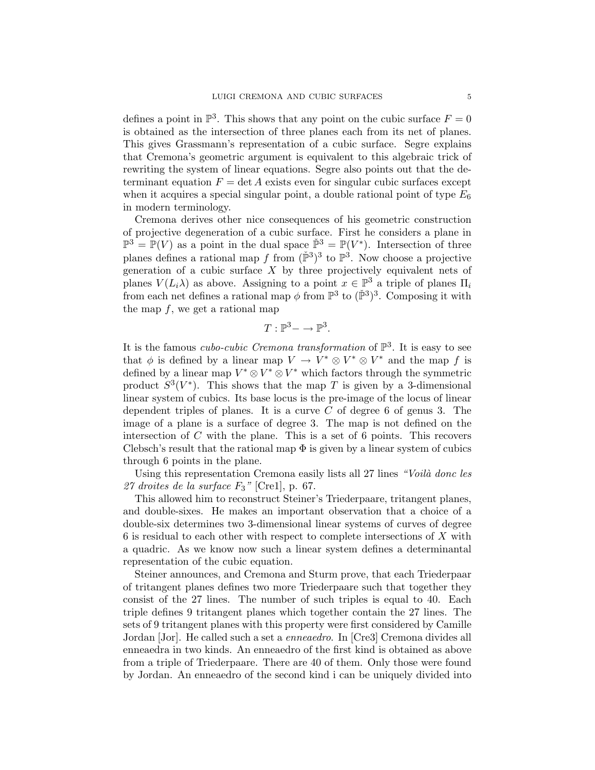defines a point in  $\mathbb{P}^3$ . This shows that any point on the cubic surface  $F = 0$ is obtained as the intersection of three planes each from its net of planes. This gives Grassmann's representation of a cubic surface. Segre explains that Cremona's geometric argument is equivalent to this algebraic trick of rewriting the system of linear equations. Segre also points out that the determinant equation  $F = \det A$  exists even for singular cubic surfaces except when it acquires a special singular point, a double rational point of type  $E_6$ in modern terminology.

Cremona derives other nice consequences of his geometric construction of projective degeneration of a cubic surface. First he considers a plane in  $\mathbb{P}^3 = \mathbb{P}(V)$  as a point in the dual space  $\mathbb{P}^3 = \mathbb{P}(V^*)$ . Intersection of three planes defines a rational map f from  $(\check{P}^3)^3$  to  $\check{P}^3$ . Now choose a projective generation of a cubic surface  $X$  by three projectively equivalent nets of planes  $V(L_i \lambda)$  as above. Assigning to a point  $x \in \mathbb{P}^3$  a triple of planes  $\Pi_i$ from each net defines a rational map  $\phi$  from  $\mathbb{P}^3$  to  $(\check{\mathbb{P}}^3)^3$ . Composing it with the map  $f$ , we get a rational map

$$
T: \mathbb{P}^3 - \to \mathbb{P}^3.
$$

It is the famous *cubo-cubic Cremona transformation* of  $\mathbb{P}^3$ . It is easy to see that  $\phi$  is defined by a linear map  $V \to V^* \otimes V^* \otimes V^*$  and the map f is defined by a linear map  $V^* \otimes V^* \otimes V^*$  which factors through the symmetric product  $S^3(V^*)$ . This shows that the map T is given by a 3-dimensional linear system of cubics. Its base locus is the pre-image of the locus of linear dependent triples of planes. It is a curve  $C$  of degree 6 of genus 3. The image of a plane is a surface of degree 3. The map is not defined on the intersection of  $C$  with the plane. This is a set of 6 points. This recovers Clebsch's result that the rational map  $\Phi$  is given by a linear system of cubics through 6 points in the plane.

Using this representation Cremona easily lists all 27 lines "Voilà donc les 27 droites de la surface  $F_3$ " [Cre1], p. 67.

This allowed him to reconstruct Steiner's Triederpaare, tritangent planes, and double-sixes. He makes an important observation that a choice of a double-six determines two 3-dimensional linear systems of curves of degree 6 is residual to each other with respect to complete intersections of X with a quadric. As we know now such a linear system defines a determinantal representation of the cubic equation.

Steiner announces, and Cremona and Sturm prove, that each Triederpaar of tritangent planes defines two more Triederpaare such that together they consist of the 27 lines. The number of such triples is equal to 40. Each triple defines 9 tritangent planes which together contain the 27 lines. The sets of 9 tritangent planes with this property were first considered by Camille Jordan [Jor]. He called such a set a enneaedro. In [Cre3] Cremona divides all enneaedra in two kinds. An enneaedro of the first kind is obtained as above from a triple of Triederpaare. There are 40 of them. Only those were found by Jordan. An enneaedro of the second kind i can be uniquely divided into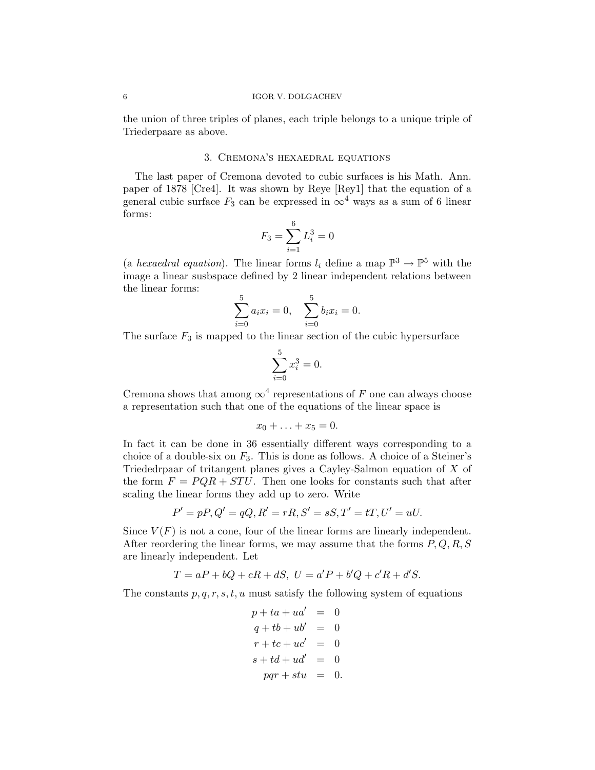### 6 IGOR V. DOLGACHEV

the union of three triples of planes, each triple belongs to a unique triple of Triederpaare as above.

### 3. Cremona's hexaedral equations

The last paper of Cremona devoted to cubic surfaces is his Math. Ann. paper of 1878 [Cre4]. It was shown by Reye [Rey1] that the equation of a general cubic surface  $F_3$  can be expressed in  $\infty^4$  ways as a sum of 6 linear forms:

$$
F_3 = \sum_{i=1}^{6} L_i^3 = 0
$$

(a *hexaedral equation*). The linear forms  $l_i$  define a map  $\mathbb{P}^3 \to \mathbb{P}^5$  with the image a linear susbspace defined by 2 linear independent relations between the linear forms:

$$
\sum_{i=0}^{5} a_i x_i = 0, \quad \sum_{i=0}^{5} b_i x_i = 0.
$$

The surface  $F_3$  is mapped to the linear section of the cubic hypersurface

$$
\sum_{i=0}^{5} x_i^3 = 0.
$$

Cremona shows that among  $\infty^4$  representations of F one can always choose a representation such that one of the equations of the linear space is

$$
x_0+\ldots+x_5=0.
$$

In fact it can be done in 36 essentially different ways corresponding to a choice of a double-six on  $F_3$ . This is done as follows. A choice of a Steiner's Triededrpaar of tritangent planes gives a Cayley-Salmon equation of X of the form  $F = PQR + STU$ . Then one looks for constants such that after scaling the linear forms they add up to zero. Write

$$
P' = pP, Q' = qQ, R' = rR, S' = sS, T' = tT, U' = uU.
$$

Since  $V(F)$  is not a cone, four of the linear forms are linearly independent. After reordering the linear forms, we may assume that the forms  $P, Q, R, S$ are linearly independent. Let

$$
T = aP + bQ + cR + dS, \ U = a'P + b'Q + c'R + d'S.
$$

The constants  $p, q, r, s, t, u$  must satisfy the following system of equations

$$
p + ta + ua' = 0
$$
  
\n
$$
q + tb + ub' = 0
$$
  
\n
$$
r + tc + uc' = 0
$$
  
\n
$$
s + td + ud' = 0
$$
  
\n
$$
pqr + stu = 0.
$$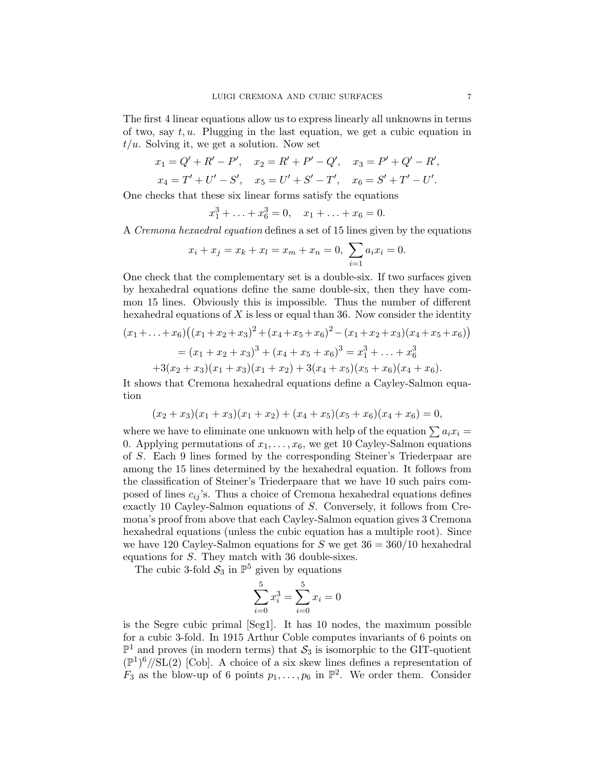The first 4 linear equations allow us to express linearly all unknowns in terms of two, say  $t, u$ . Plugging in the last equation, we get a cubic equation in  $t/u$ . Solving it, we get a solution. Now set

$$
x_1 = Q' + R' - P', \quad x_2 = R' + P' - Q', \quad x_3 = P' + Q' - R',
$$
  

$$
x_4 = T' + U' - S', \quad x_5 = U' + S' - T', \quad x_6 = S' + T' - U'.
$$

One checks that these six linear forms satisfy the equations

$$
x_1^3 + \ldots + x_6^3 = 0, \quad x_1 + \ldots + x_6 = 0.
$$

A Cremona hexaedral equation defines a set of 15 lines given by the equations

$$
x_i + x_j = x_k + x_l = x_m + x_n = 0, \sum_{i=1}^{\infty} a_i x_i = 0.
$$

One check that the complementary set is a double-six. If two surfaces given by hexahedral equations define the same double-six, then they have common 15 lines. Obviously this is impossible. Thus the number of different hexahedral equations of  $X$  is less or equal than 36. Now consider the identity

$$
(x_1 + \ldots + x_6)((x_1 + x_2 + x_3)^2 + (x_4 + x_5 + x_6)^2 - (x_1 + x_2 + x_3)(x_4 + x_5 + x_6))
$$
  
=  $(x_1 + x_2 + x_3)^3 + (x_4 + x_5 + x_6)^3 = x_1^3 + \ldots + x_6^3$   
+  $3(x_2 + x_3)(x_1 + x_3)(x_1 + x_2) + 3(x_4 + x_5)(x_5 + x_6)(x_4 + x_6).$ 

It shows that Cremona hexahedral equations define a Cayley-Salmon equation

$$
(x_2 + x_3)(x_1 + x_3)(x_1 + x_2) + (x_4 + x_5)(x_5 + x_6)(x_4 + x_6) = 0,
$$

where we have to eliminate one unknown with help of the equation  $\sum a_i x_i =$ 0. Applying permutations of  $x_1, \ldots, x_6$ , we get 10 Cayley-Salmon equations of S. Each 9 lines formed by the corresponding Steiner's Triederpaar are among the 15 lines determined by the hexahedral equation. It follows from the classification of Steiner's Triederpaare that we have 10 such pairs composed of lines  $c_{ij}$ 's. Thus a choice of Cremona hexahedral equations defines exactly 10 Cayley-Salmon equations of S. Conversely, it follows from Cremona's proof from above that each Cayley-Salmon equation gives 3 Cremona hexahedral equations (unless the cubic equation has a multiple root). Since we have 120 Cayley-Salmon equations for  $S$  we get  $36 = 360/10$  hexahedral equations for S. They match with 36 double-sixes.

The cubic 3-fold  $S_3$  in  $\mathbb{P}^5$  given by equations

$$
\sum_{i=0}^{5} x_i^3 = \sum_{i=0}^{5} x_i = 0
$$

is the Segre cubic primal [Seg1]. It has 10 nodes, the maximum possible for a cubic 3-fold. In 1915 Arthur Coble computes invariants of 6 points on  $\mathbb{P}^1$  and proves (in modern terms) that  $\mathcal{S}_3$  is isomorphic to the GIT-quotient  $(\mathbb{P}^1)^6$ //SL(2) [Cob]. A choice of a six skew lines defines a representation of  $F_3$  as the blow-up of 6 points  $p_1, \ldots, p_6$  in  $\mathbb{P}^2$ . We order them. Consider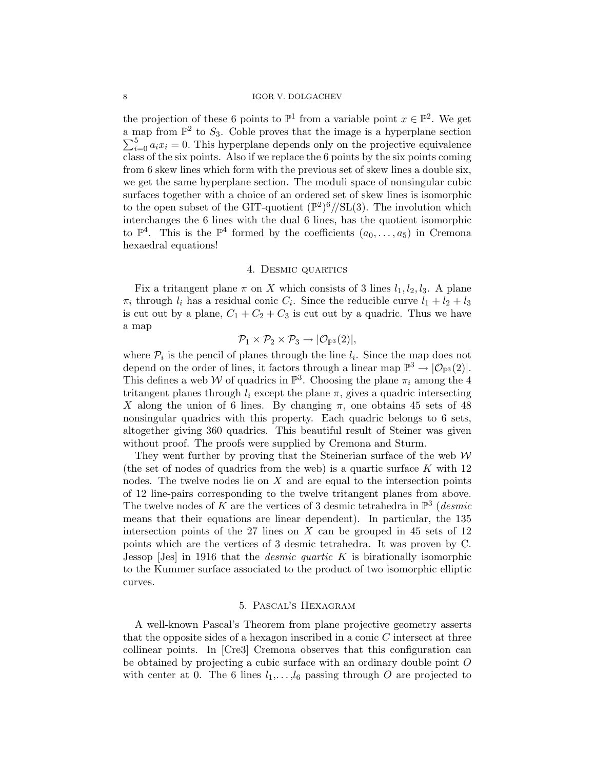the projection of these 6 points to  $\mathbb{P}^1$  from a variable point  $x \in \mathbb{P}^2$ . We get a map from  $\mathbb{P}^2$  to  $S_3$ . Coble proves that the image is a hyperplane section  $\sum_{i=0}^{5} a_i x_i = 0$ . This hyperplane depends only on the projective equivalence class of the six points. Also if we replace the 6 points by the six points coming from 6 skew lines which form with the previous set of skew lines a double six, we get the same hyperplane section. The moduli space of nonsingular cubic surfaces together with a choice of an ordered set of skew lines is isomorphic to the open subset of the GIT-quotient  $(\mathbb{P}^2)^6/\mathrm{SL}(3)$ . The involution which interchanges the 6 lines with the dual 6 lines, has the quotient isomorphic to  $\mathbb{P}^4$ . This is the  $\mathbb{P}^4$  formed by the coefficients  $(a_0, \ldots, a_5)$  in Cremona hexaedral equations!

#### 4. Desmic quartics

Fix a tritangent plane  $\pi$  on X which consists of 3 lines  $l_1, l_2, l_3$ . A plane  $\pi_i$  through  $l_i$  has a residual conic  $C_i$ . Since the reducible curve  $l_1 + l_2 + l_3$ is cut out by a plane,  $C_1 + C_2 + C_3$  is cut out by a quadric. Thus we have a map

$$
\mathcal{P}_1 \times \mathcal{P}_2 \times \mathcal{P}_3 \to |\mathcal{O}_{\mathbb{P}^3}(2)|
$$

where  $\mathcal{P}_i$  is the pencil of planes through the line  $l_i$ . Since the map does not depend on the order of lines, it factors through a linear map  $\mathbb{P}^3 \to |\mathcal{O}_{\mathbb{P}^3}(2)|$ . This defines a web W of quadrics in  $\mathbb{P}^3$ . Choosing the plane  $\pi_i$  among the 4 tritangent planes through  $l_i$  except the plane  $\pi$ , gives a quadric intersecting X along the union of 6 lines. By changing  $\pi$ , one obtains 45 sets of 48 nonsingular quadrics with this property. Each quadric belongs to 6 sets, altogether giving 360 quadrics. This beautiful result of Steiner was given without proof. The proofs were supplied by Cremona and Sturm.

They went further by proving that the Steinerian surface of the web  $W$ (the set of nodes of quadrics from the web) is a quartic surface  $K$  with 12 nodes. The twelve nodes lie on  $X$  and are equal to the intersection points of 12 line-pairs corresponding to the twelve tritangent planes from above. The twelve nodes of K are the vertices of 3 desmic tetrahedra in  $\mathbb{P}^3$  (*desmic* means that their equations are linear dependent). In particular, the 135 intersection points of the 27 lines on  $X$  can be grouped in 45 sets of 12 points which are the vertices of 3 desmic tetrahedra. It was proven by C. Jessop  $\text{Jes}$  in 1916 that the *desmic quartic K* is birationally isomorphic to the Kummer surface associated to the product of two isomorphic elliptic curves.

## 5. Pascal's Hexagram

A well-known Pascal's Theorem from plane projective geometry asserts that the opposite sides of a hexagon inscribed in a conic C intersect at three collinear points. In [Cre3] Cremona observes that this configuration can be obtained by projecting a cubic surface with an ordinary double point O with center at 0. The 6 lines  $l_1,\ldots,l_6$  passing through O are projected to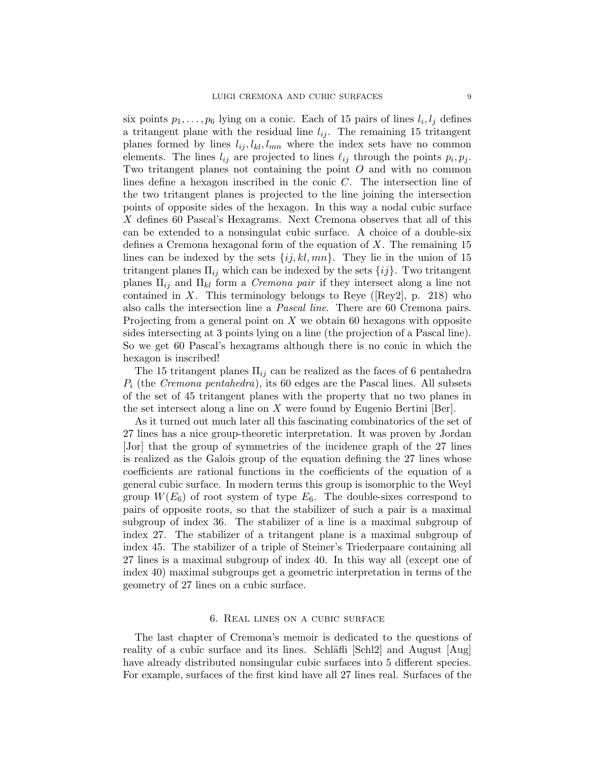six points  $p_1, \ldots, p_6$  lying on a conic. Each of 15 pairs of lines  $l_i, l_j$  defines a tritangent plane with the residual line  $l_{ij}$ . The remaining 15 tritangent planes formed by lines  $l_{ij}$ ,  $l_{kl}$ ,  $l_{mn}$  where the index sets have no common elements. The lines  $l_{ij}$  are projected to lines  $\ell_{ij}$  through the points  $p_i, p_j$ . Two tritangent planes not containing the point O and with no common lines define a hexagon inscribed in the conic C. The intersection line of the two tritangent planes is projected to the line joining the intersection points of opposite sides of the hexagon. In this way a nodal cubic surface X defines 60 Pascal's Hexagrams. Next Cremona observes that all of this can be extended to a nonsingulat cubic surface. A choice of a double-six defines a Cremona hexagonal form of the equation of X. The remaining 15 lines can be indexed by the sets  $\{ij, kl, mn\}$ . They lie in the union of 15 tritangent planes  $\Pi_{ij}$  which can be indexed by the sets  $\{ij\}$ . Two tritangent planes  $\Pi_{ij}$  and  $\Pi_{kl}$  form a *Cremona pair* if they intersect along a line not contained in X. This terminology belongs to Reye ( $[Reg2]$ , p. 218) who also calls the intersection line a Pascal line. There are 60 Cremona pairs. Projecting from a general point on  $X$  we obtain 60 hexagons with opposite sides intersecting at 3 points lying on a line (the projection of a Pascal line). So we get 60 Pascal's hexagrams although there is no conic in which the hexagon is inscribed!

The 15 tritangent planes  $\Pi_{ij}$  can be realized as the faces of 6 pentahedra  $P_i$  (the Cremona pentahedra), its 60 edges are the Pascal lines. All subsets of the set of 45 tritangent planes with the property that no two planes in the set intersect along a line on  $X$  were found by Eugenio Bertini [Ber].

As it turned out much later all this fascinating combinatorics of the set of 27 lines has a nice group-theoretic interpretation. It was proven by Jordan [Jor] that the group of symmetries of the incidence graph of the 27 lines is realized as the Galois group of the equation defining the 27 lines whose coefficients are rational functions in the coefficients of the equation of a general cubic surface. In modern terms this group is isomorphic to the Weyl group  $W(E_6)$  of root system of type  $E_6$ . The double-sixes correspond to pairs of opposite roots, so that the stabilizer of such a pair is a maximal subgroup of index 36. The stabilizer of a line is a maximal subgroup of index 27. The stabilizer of a tritangent plane is a maximal subgroup of index 45. The stabilizer of a triple of Steiner's Triederpaare containing all 27 lines is a maximal subgroup of index 40. In this way all (except one of index 40) maximal subgroups get a geometric interpretation in terms of the geometry of 27 lines on a cubic surface.

#### 6. Real lines on a cubic surface

The last chapter of Cremona's memoir is dedicated to the questions of reality of a cubic surface and its lines. Schläfli  $\lbrack \text{Schl2} \rbrack$  and August  $\lbrack \text{Aug} \rbrack$ have already distributed nonsingular cubic surfaces into 5 different species. For example, surfaces of the first kind have all 27 lines real. Surfaces of the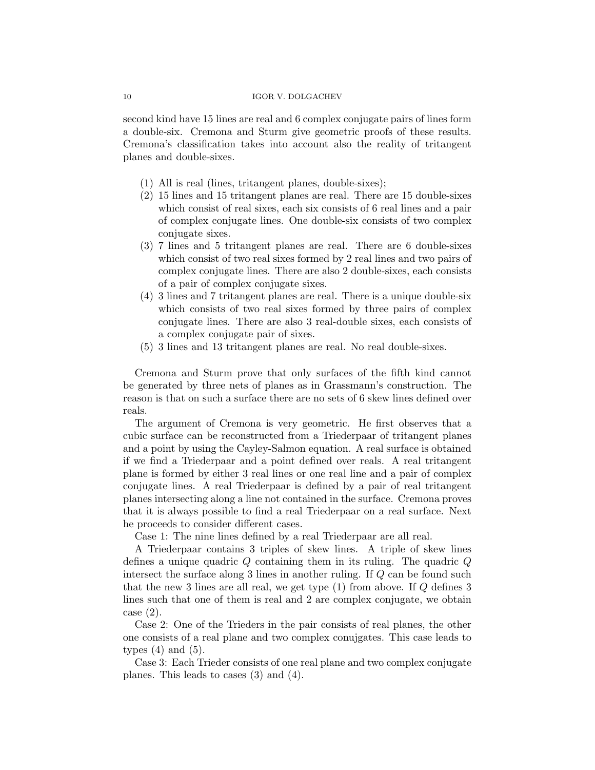#### 10 IGOR V. DOLGACHEV

second kind have 15 lines are real and 6 complex conjugate pairs of lines form a double-six. Cremona and Sturm give geometric proofs of these results. Cremona's classification takes into account also the reality of tritangent planes and double-sixes.

- (1) All is real (lines, tritangent planes, double-sixes);
- (2) 15 lines and 15 tritangent planes are real. There are 15 double-sixes which consist of real sixes, each six consists of 6 real lines and a pair of complex conjugate lines. One double-six consists of two complex conjugate sixes.
- (3) 7 lines and 5 tritangent planes are real. There are 6 double-sixes which consist of two real sixes formed by 2 real lines and two pairs of complex conjugate lines. There are also 2 double-sixes, each consists of a pair of complex conjugate sixes.
- (4) 3 lines and 7 tritangent planes are real. There is a unique double-six which consists of two real sixes formed by three pairs of complex conjugate lines. There are also 3 real-double sixes, each consists of a complex conjugate pair of sixes.
- (5) 3 lines and 13 tritangent planes are real. No real double-sixes.

Cremona and Sturm prove that only surfaces of the fifth kind cannot be generated by three nets of planes as in Grassmann's construction. The reason is that on such a surface there are no sets of 6 skew lines defined over reals.

The argument of Cremona is very geometric. He first observes that a cubic surface can be reconstructed from a Triederpaar of tritangent planes and a point by using the Cayley-Salmon equation. A real surface is obtained if we find a Triederpaar and a point defined over reals. A real tritangent plane is formed by either 3 real lines or one real line and a pair of complex conjugate lines. A real Triederpaar is defined by a pair of real tritangent planes intersecting along a line not contained in the surface. Cremona proves that it is always possible to find a real Triederpaar on a real surface. Next he proceeds to consider different cases.

Case 1: The nine lines defined by a real Triederpaar are all real.

A Triederpaar contains 3 triples of skew lines. A triple of skew lines defines a unique quadric  $Q$  containing them in its ruling. The quadric  $Q$ intersect the surface along 3 lines in another ruling. If Q can be found such that the new 3 lines are all real, we get type  $(1)$  from above. If Q defines 3 lines such that one of them is real and 2 are complex conjugate, we obtain case (2).

Case 2: One of the Trieders in the pair consists of real planes, the other one consists of a real plane and two complex conujgates. This case leads to types  $(4)$  and  $(5)$ .

Case 3: Each Trieder consists of one real plane and two complex conjugate planes. This leads to cases (3) and (4).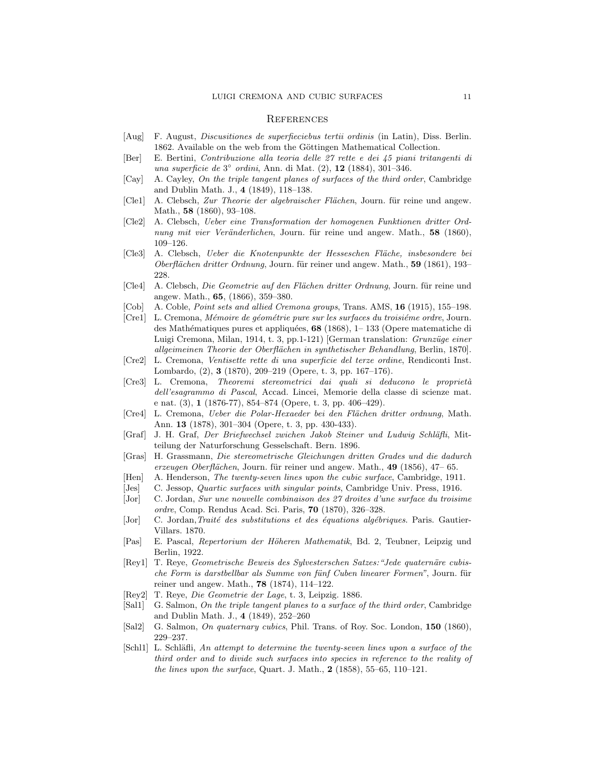#### **REFERENCES**

- [Aug] F. August, Discusitiones de superfieciebus tertii ordinis (in Latin), Diss. Berlin. 1862. Available on the web from the Göttingen Mathematical Collection.
- [Ber] E. Bertini, Contribuzione alla teoria delle 27 rette e dei 45 piani tritangenti di una superficie de 3<sup>°</sup> ordini, Ann. di Mat. (2), **12** (1884), 301-346.
- [Cay] A. Cayley, On the triple tangent planes of surfaces of the third order, Cambridge and Dublin Math. J., 4 (1849), 118–138.
- [Cle1] A. Clebsch, Zur Theorie der algebraischer Flächen, Journ. für reine und angew. Math., **58** (1860), 93-108.
- [Cle2] A. Clebsch, Ueber eine Transformation der homogenen Funktionen dritter Ordnung mit vier Veränderlichen, Journ. für reine und angew. Math., 58 (1860), 109–126.
- [Cle3] A. Clebsch, Ueber die Knotenpunkte der Hesseschen Fläche, insbesondere bei Oberflächen dritter Ordnung, Journ. für reiner und angew. Math., 59 (1861), 193– 228.
- [Cle4] A. Clebsch, Die Geometrie auf den Flächen dritter Ordnung, Journ. für reine und angew. Math., 65, (1866), 359–380.
- [Cob] A. Coble, Point sets and allied Cremona groups, Trans. AMS, 16 (1915), 155–198.
- [Cre1] L. Cremona, *Mémoire de géométrie pure sur les surfaces du troisième ordre*, Journ. des Mathématiques pures et appliquées,  $68$  (1868), 1– 133 (Opere matematiche di Luigi Cremona, Milan, 1914, t. 3, pp. 1-121) [German translation: *Grunzüge einer* allgeimeinen Theorie der Oberflächen in synthetischer Behandlung, Berlin, 1870].
- [Cre2] L. Cremona, Ventisette rette di una superficie del terze ordine, Rendiconti Inst. Lombardo, (2), 3 (1870), 209–219 (Opere, t. 3, pp. 167–176).
- [Cre3] L. Cremona, Theoremi stereometrici dai quali si deducono le proprietà dell'esagrammo di Pascal, Accad. Lincei, Memorie della classe di scienze mat. e nat. (3), 1 (1876-77), 854–874 (Opere, t. 3, pp. 406–429).
- [Cre4] L. Cremona, *Ueber die Polar-Hexaeder bei den Flächen dritter ordnung*, Math. Ann. 13 (1878), 301–304 (Opere, t. 3, pp. 430-433).
- [Graf] J. H. Graf, Der Briefwechsel zwichen Jakob Steiner und Ludwig Schläfli, Mitteilung der Naturforschung Gesselschaft. Bern. 1896.
- [Gras] H. Grassmann, Die stereometrische Gleichungen dritten Grades und die dadurch erzeugen Oberflächen, Journ. für reiner und angew. Math., 49 (1856), 47–65.
- [Hen] A. Henderson, The twenty-seven lines upon the cubic surface, Cambridge, 1911.
- [Jes] C. Jessop, Quartic surfaces with singular points, Cambridge Univ. Press, 1916.
- [Jor] C. Jordan, Sur une nouvelle combinaison des 27 droites d'une surface du troisime ordre, Comp. Rendus Acad. Sci. Paris, 70 (1870), 326–328.
- [Jor] C. Jordan, Traité des substitutions et des équations algébriques. Paris. Gautier-Villars. 1870.
- [Pas] E. Pascal, Repertorium der Höheren Mathematik, Bd. 2, Teubner, Leipzig und Berlin, 1922.
- [Rey1] T. Reye, Geometrische Beweis des Sylvesterschen Satzes: "Jede quaternäre cubische Form is darstbellbar als Summe von fünf Cuben linearer Formen", Journ. für reiner und angew. Math., 78 (1874), 114–122.
- [Rey2] T. Reye, Die Geometrie der Lage, t. 3, Leipzig. 1886.
- [Sal1] G. Salmon, On the triple tangent planes to a surface of the third order, Cambridge and Dublin Math. J., 4 (1849), 252–260
- [Sal2] G. Salmon, On quaternary cubics, Phil. Trans. of Roy. Soc. London, 150 (1860), 229–237.
- [Schl1] L. Schläfli, An attempt to determine the twenty-seven lines upon a surface of the third order and to divide such surfaces into species in reference to the reality of the lines upon the surface, Quart. J. Math.,  $2$  (1858), 55–65, 110–121.